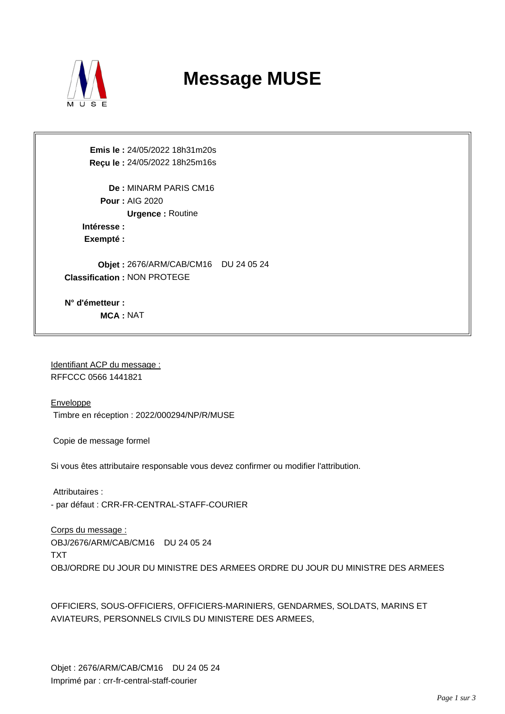

## **Message MUSE**

**Emis le :** 24/05/2022 18h31m20s **Reçu le :** 24/05/2022 18h25m16s

**De :** MINARM PARIS CM16 **Pour :** AIG 2020 **Urgence :** Routine **Intéresse :** 

**Exempté :** 

**Objet :** 2676/ARM/CAB/CM16 DU 24 05 24 **Classification :** NON PROTEGE

**N° d'émetteur : MCA :** NAT

Identifiant ACP du message : RFFCCC 0566 1441821

**Enveloppe** Timbre en réception : 2022/000294/NP/R/MUSE

Copie de message formel

Si vous êtes attributaire responsable vous devez confirmer ou modifier l'attribution.

 Attributaires : - par défaut : CRR-FR-CENTRAL-STAFF-COURIER

Corps du message : OBJ/2676/ARM/CAB/CM16 DU 24 05 24 TXT OBJ/ORDRE DU JOUR DU MINISTRE DES ARMEES ORDRE DU JOUR DU MINISTRE DES ARMEES

OFFICIERS, SOUS-OFFICIERS, OFFICIERS-MARINIERS, GENDARMES, SOLDATS, MARINS ET AVIATEURS, PERSONNELS CIVILS DU MINISTERE DES ARMEES,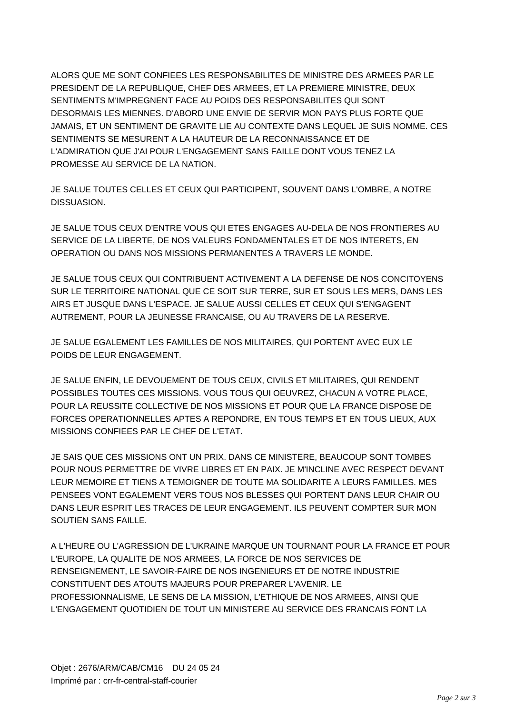ALORS QUE ME SONT CONFIEES LES RESPONSABILITES DE MINISTRE DES ARMEES PAR LE PRESIDENT DE LA REPUBLIQUE, CHEF DES ARMEES, ET LA PREMIERE MINISTRE, DEUX SENTIMENTS M'IMPREGNENT FACE AU POIDS DES RESPONSABILITES QUI SONT DESORMAIS LES MIENNES. D'ABORD UNE ENVIE DE SERVIR MON PAYS PLUS FORTE QUE JAMAIS, ET UN SENTIMENT DE GRAVITE LIE AU CONTEXTE DANS LEQUEL JE SUIS NOMME. CES SENTIMENTS SE MESURENT A LA HAUTEUR DE LA RECONNAISSANCE ET DE L'ADMIRATION QUE J'AI POUR L'ENGAGEMENT SANS FAILLE DONT VOUS TENEZ LA PROMESSE AU SERVICE DE LA NATION.

JE SALUE TOUTES CELLES ET CEUX QUI PARTICIPENT, SOUVENT DANS L'OMBRE, A NOTRE DISSUASION.

JE SALUE TOUS CEUX D'ENTRE VOUS QUI ETES ENGAGES AU-DELA DE NOS FRONTIERES AU SERVICE DE LA LIBERTE, DE NOS VALEURS FONDAMENTALES ET DE NOS INTERETS, EN OPERATION OU DANS NOS MISSIONS PERMANENTES A TRAVERS LE MONDE.

JE SALUE TOUS CEUX QUI CONTRIBUENT ACTIVEMENT A LA DEFENSE DE NOS CONCITOYENS SUR LE TERRITOIRE NATIONAL QUE CE SOIT SUR TERRE, SUR ET SOUS LES MERS, DANS LES AIRS ET JUSQUE DANS L'ESPACE. JE SALUE AUSSI CELLES ET CEUX QUI S'ENGAGENT AUTREMENT, POUR LA JEUNESSE FRANCAISE, OU AU TRAVERS DE LA RESERVE.

JE SALUE EGALEMENT LES FAMILLES DE NOS MILITAIRES, QUI PORTENT AVEC EUX LE POIDS DE LEUR ENGAGEMENT.

JE SALUE ENFIN, LE DEVOUEMENT DE TOUS CEUX, CIVILS ET MILITAIRES, QUI RENDENT POSSIBLES TOUTES CES MISSIONS. VOUS TOUS QUI OEUVREZ, CHACUN A VOTRE PLACE, POUR LA REUSSITE COLLECTIVE DE NOS MISSIONS ET POUR QUE LA FRANCE DISPOSE DE FORCES OPERATIONNELLES APTES A REPONDRE, EN TOUS TEMPS ET EN TOUS LIEUX, AUX MISSIONS CONFIEES PAR LE CHEF DE L'ETAT.

JE SAIS QUE CES MISSIONS ONT UN PRIX. DANS CE MINISTERE, BEAUCOUP SONT TOMBES POUR NOUS PERMETTRE DE VIVRE LIBRES ET EN PAIX. JE M'INCLINE AVEC RESPECT DEVANT LEUR MEMOIRE ET TIENS A TEMOIGNER DE TOUTE MA SOLIDARITE A LEURS FAMILLES. MES PENSEES VONT EGALEMENT VERS TOUS NOS BLESSES QUI PORTENT DANS LEUR CHAIR OU DANS LEUR ESPRIT LES TRACES DE LEUR ENGAGEMENT. ILS PEUVENT COMPTER SUR MON SOUTIEN SANS FAILLE.

A L'HEURE OU L'AGRESSION DE L'UKRAINE MARQUE UN TOURNANT POUR LA FRANCE ET POUR L'EUROPE, LA QUALITE DE NOS ARMEES, LA FORCE DE NOS SERVICES DE RENSEIGNEMENT, LE SAVOIR-FAIRE DE NOS INGENIEURS ET DE NOTRE INDUSTRIE CONSTITUENT DES ATOUTS MAJEURS POUR PREPARER L'AVENIR. LE PROFESSIONNALISME, LE SENS DE LA MISSION, L'ETHIQUE DE NOS ARMEES, AINSI QUE L'ENGAGEMENT QUOTIDIEN DE TOUT UN MINISTERE AU SERVICE DES FRANCAIS FONT LA